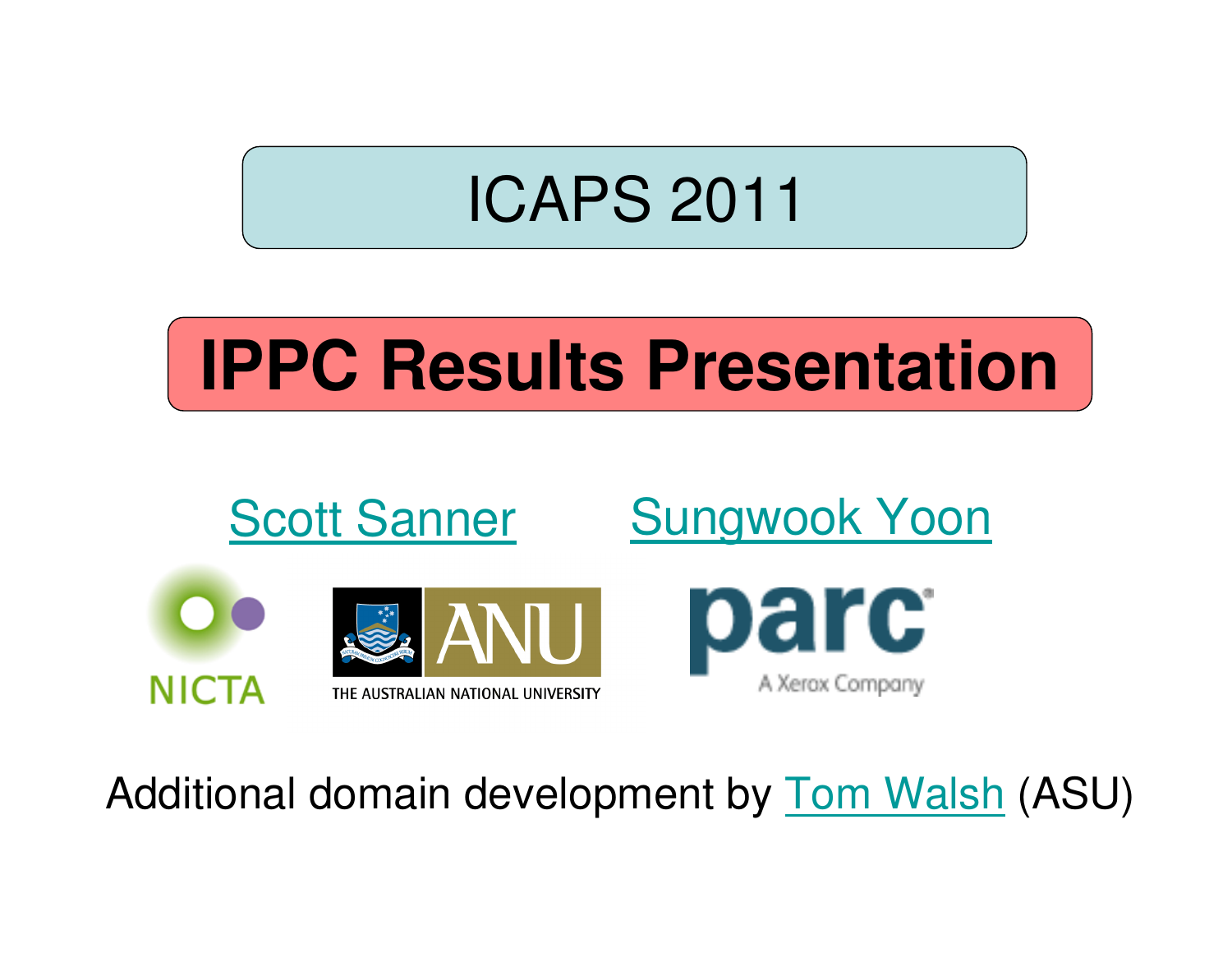#### ICAPS 2011

# **IPPC Results Presentation**



Additional domain development by <u>Tom Walsh</u> (ASU)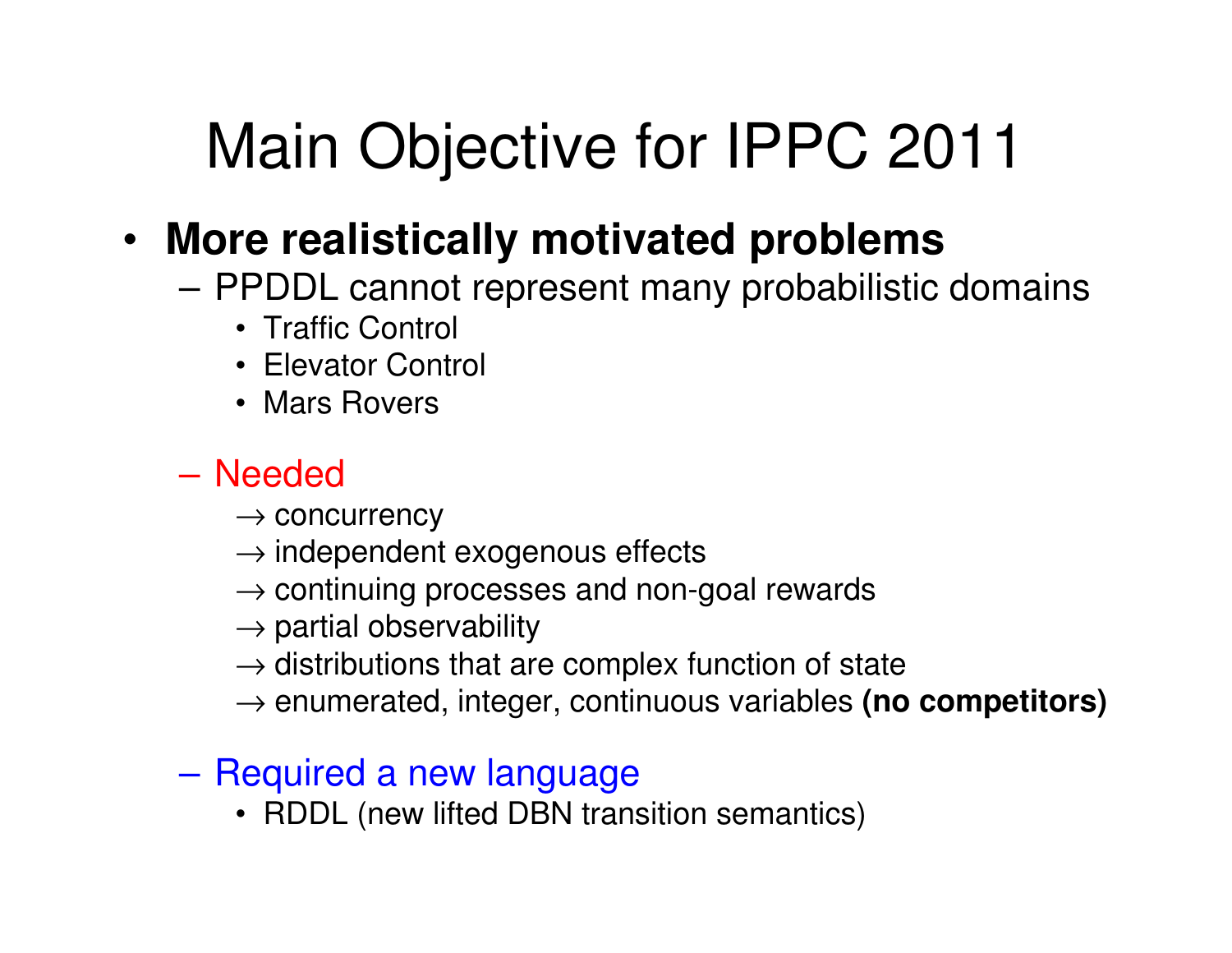#### Main Objective for IPPC 2011

#### • **More realistically motivated problems**

- PPHIL cannot represent many probabilisti PPDDL cannot represent many probabilistic domains
	- Traffic Control
	- Elevator Control
	- Mars Rovers

#### **Links of the Company** Needed

- $\rightarrow$  concurrency<br> $\rightarrow$  indenendent
- $\rightarrow$  independent exogenous effects<br> $\rightarrow$  continuing processes and non-c
- → continuing processes and non-goal rewards<br>→ partial observability
- $\rightarrow$  partial observability<br> $\rightarrow$  distributions that are
- $\rightarrow$  distributions that are complex function of state<br> $\rightarrow$  enumerated, integer, continuous variables **(no**
- → enumerated, integer, continuous variables **(no competitors)**

#### **Links of the Company** Required a new language

• RDDL (new lifted DBN transition semantics)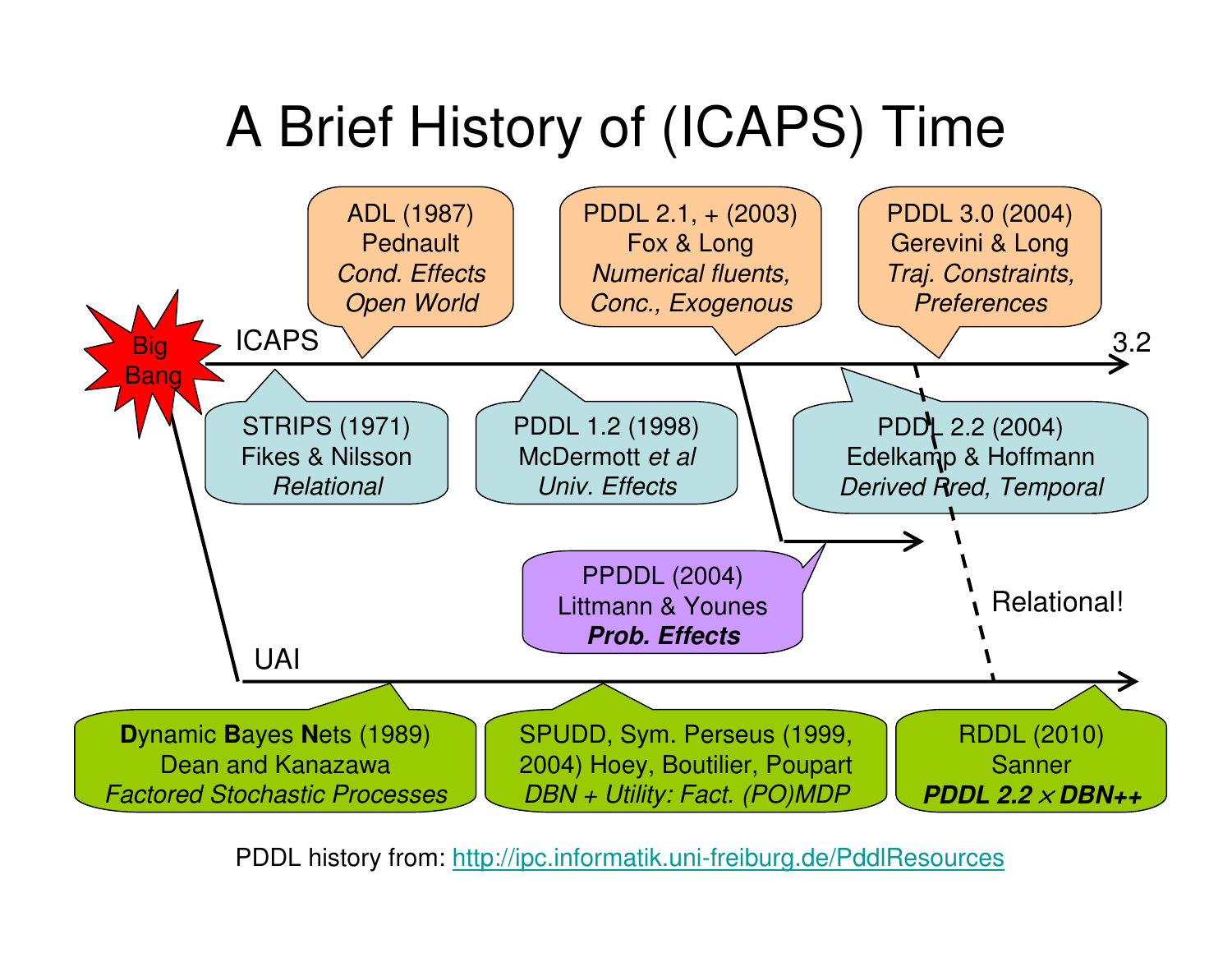#### A Brief History of (ICAPS) Time



PDDL history from: http://ipc.informatik.uni-freiburg.de/PddlResources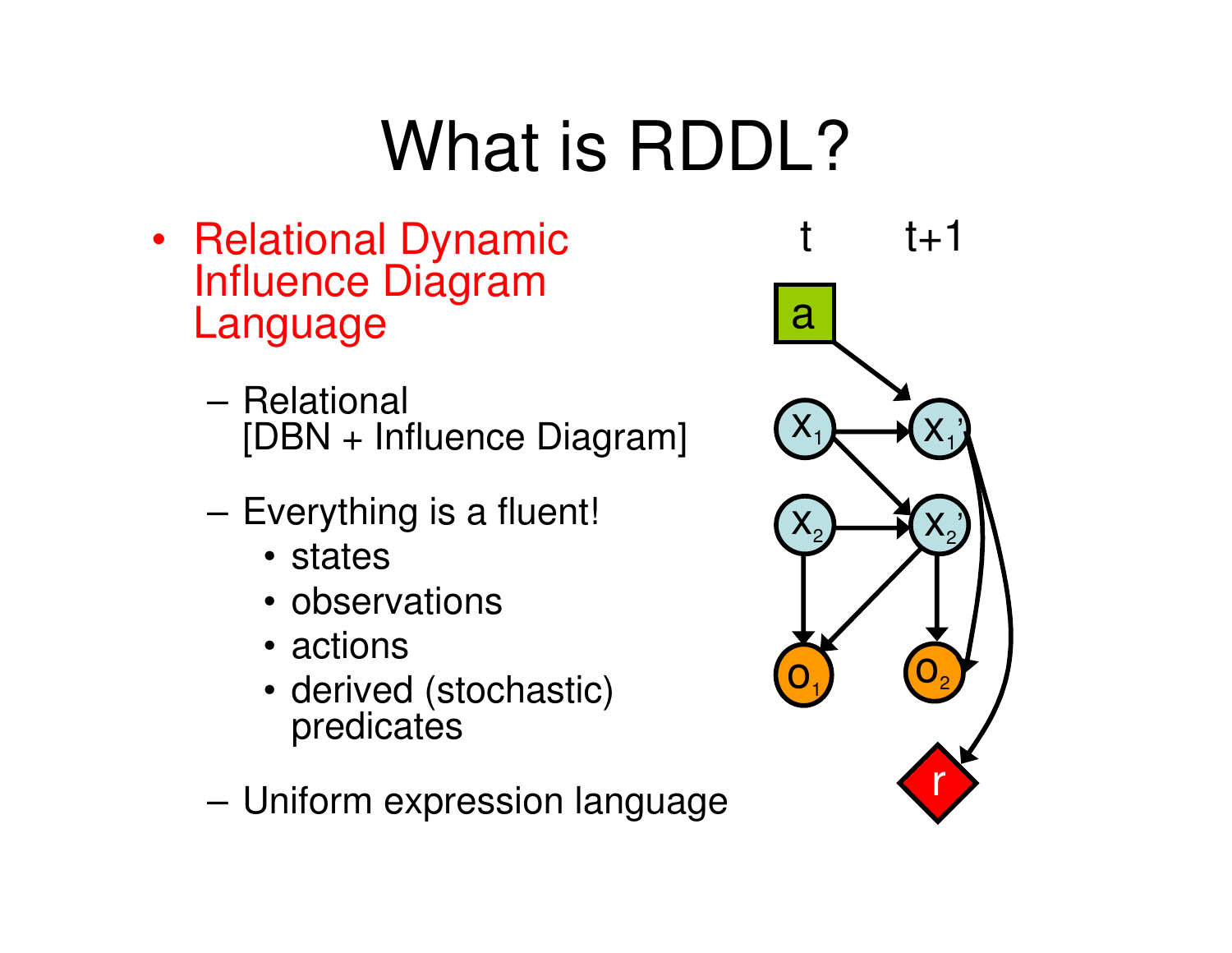# What is RDDL?

- Relational Dynamic Influence Diagram Language
	- **Links of the Common Relational** [DBN + Influence Diagram]
	- – Everything is a fluent!
		- states
		- observations
		- actions
		- derived (stochastic) predicates
	- –Uniform expression language

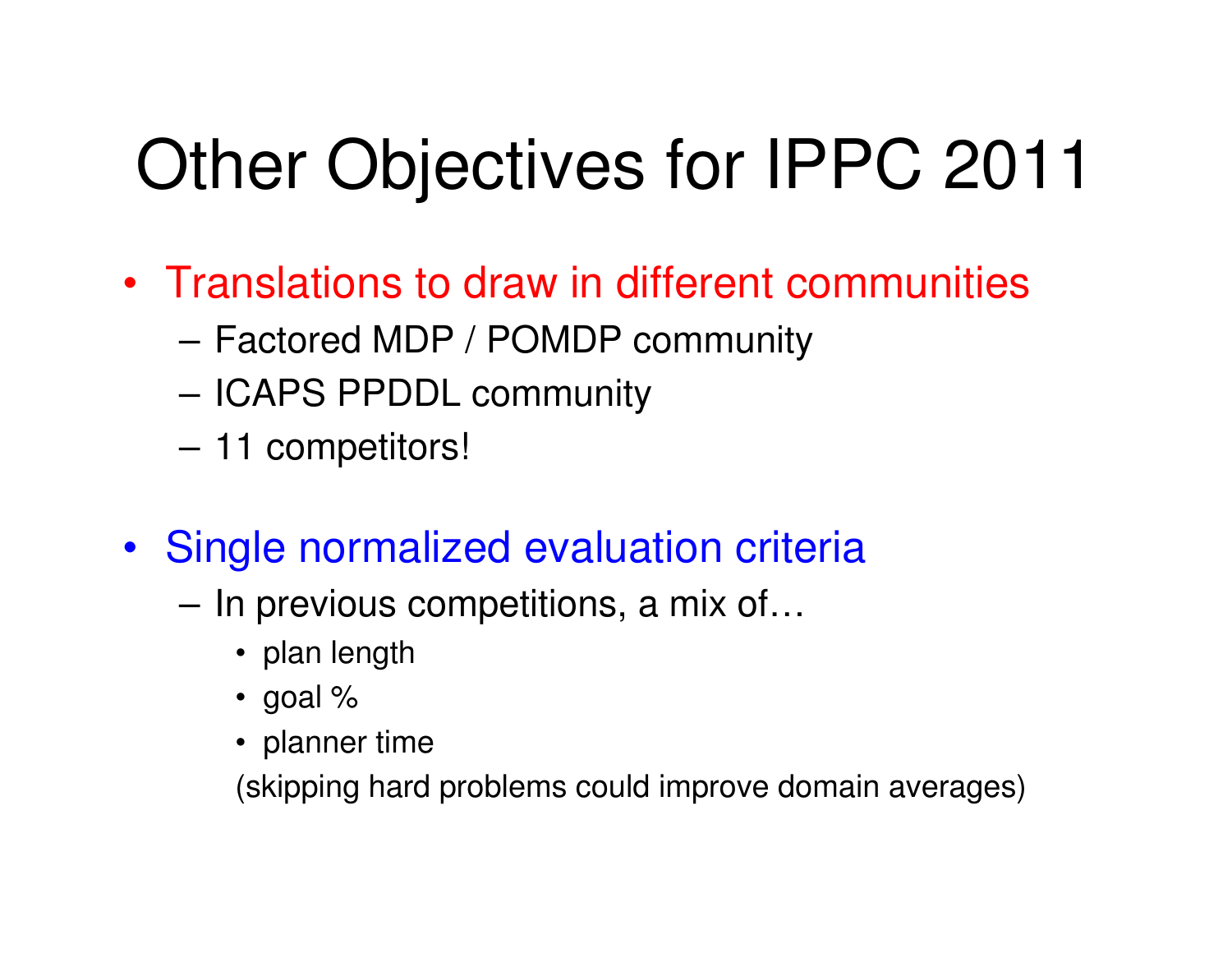# Other Objectives for IPPC 2011

- Translations to draw in different communities
	- **Links of the Common** Factored MDP / POMDP community
	- **Links of the Common** ICAPS PPDDL community
	- **Links of the Common** 11 competitors!
- Single normalized evaluation criteria
	- **Links of the Common**  In previous competitions, a mix of…
		- plan length
		- goal %
		- planner time

(skipping hard problems could improve domain averages)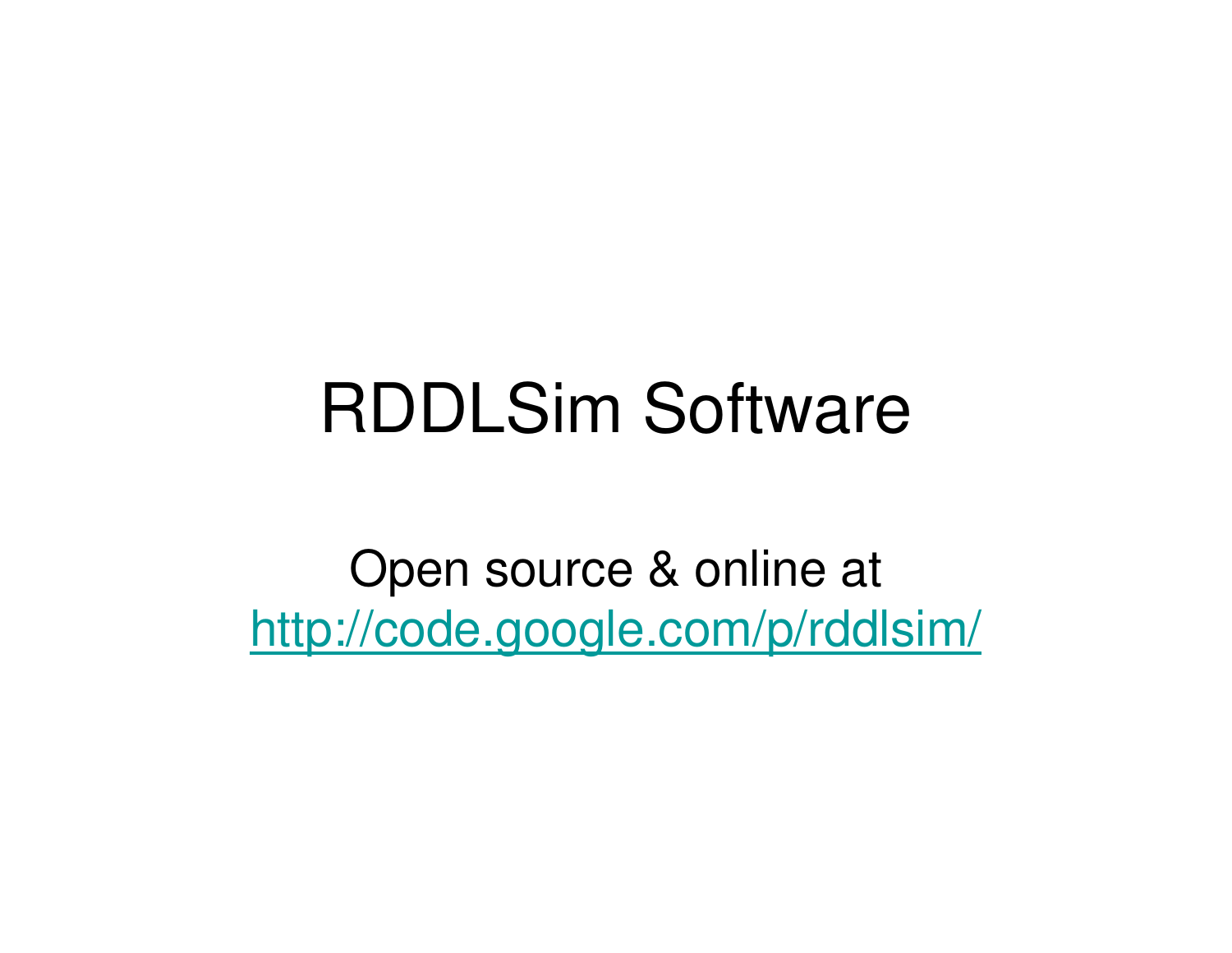### RDDLSim Software

Open source & online at http://code.google.com/p/rddlsim/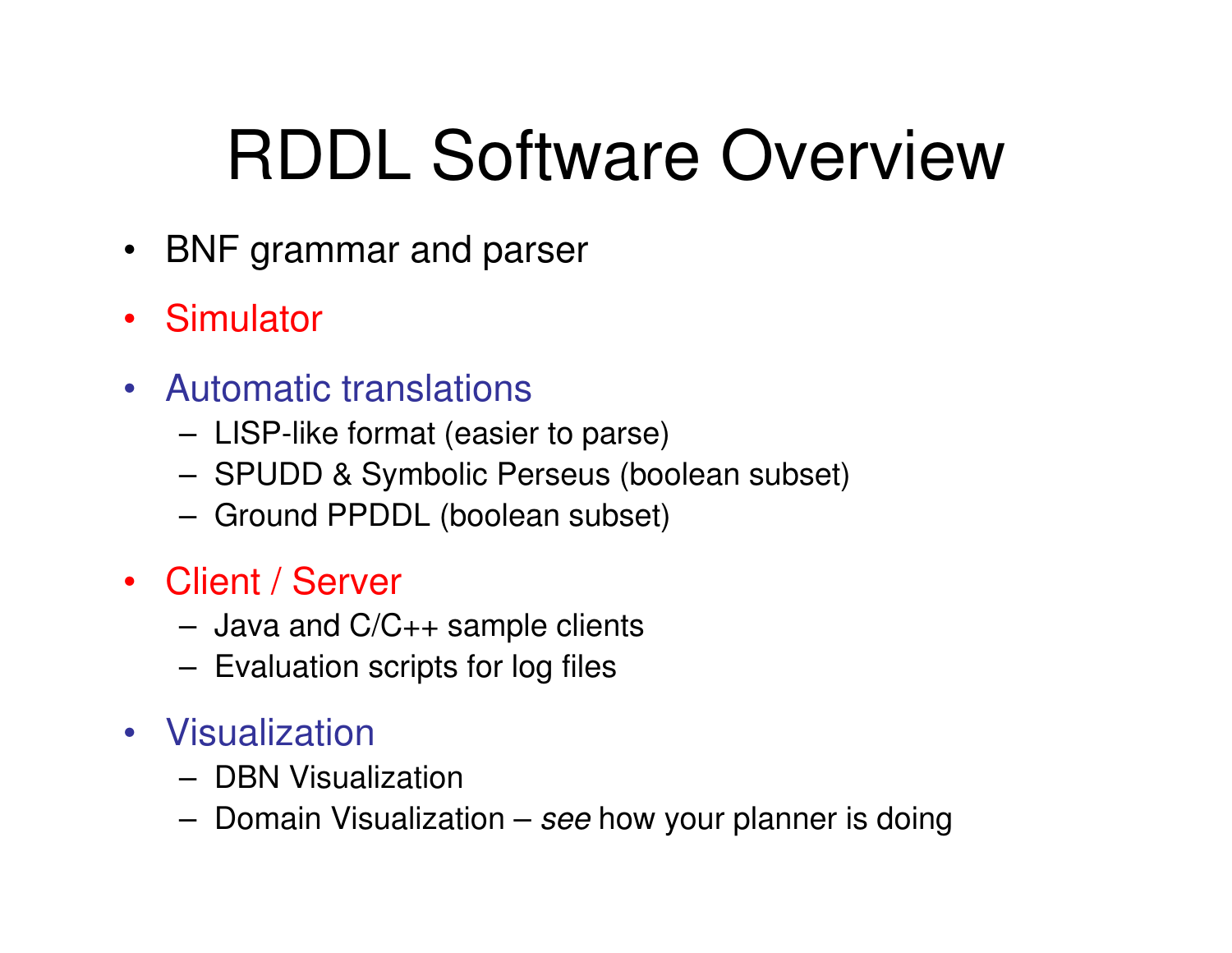# RDDL Software Overview

- BNF grammar and parser
- Simulator
- Automatic translations
	- –LISP-like format (easier to parse)
	- **Links of the Company** SPUDD & Symbolic Perseus (boolean subset)
	- –Ground PPDDL (boolean subset)
- Client / Server
	- **Links of the Company** Java and C/C++ sample clients
	- –Evaluation scripts for log files
- Visualization
	- DRN Vieus DBN Visualization
	- –Domain Visualization – *see* how your planner is doing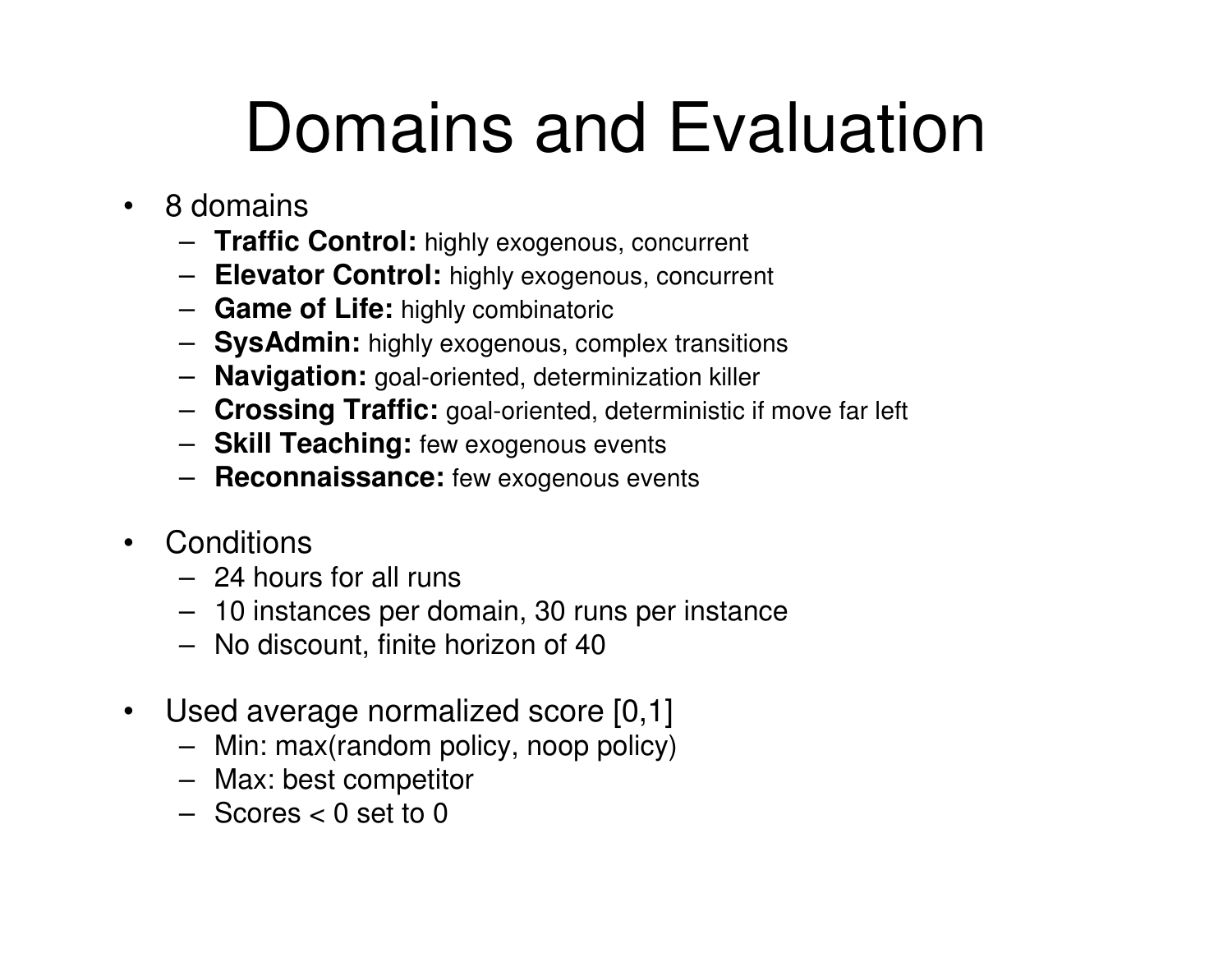# Domains and Evaluation

- $\bullet$  8 domains
	- **Traffic Control:** highly exogenous, concurrent
	- **Elevator Control:** highly exogenous, concurrent
	- **Game of Life:** highly combinatoric
	- **SysAdmin:** highly exogenous, complex transitions
	- **Navigation:** goal-oriented, determinization killer
	- **Crossing Traffic:** goal-oriented, deterministic if move far left
	- **Skill Teaching:** few exogenous events
	- **Reconnaissance:** few exogenous events
- Conditions
	- 24 hours for all runs
	- 10 instances per domain, 30 runs per instance
	- No discount, finite horizon of 40
- $\bullet$  Used average normalized score [0,1]
	- Min: max(random policy, noop policy)
	- Max: best competitor
	- Scores < 0 set to 0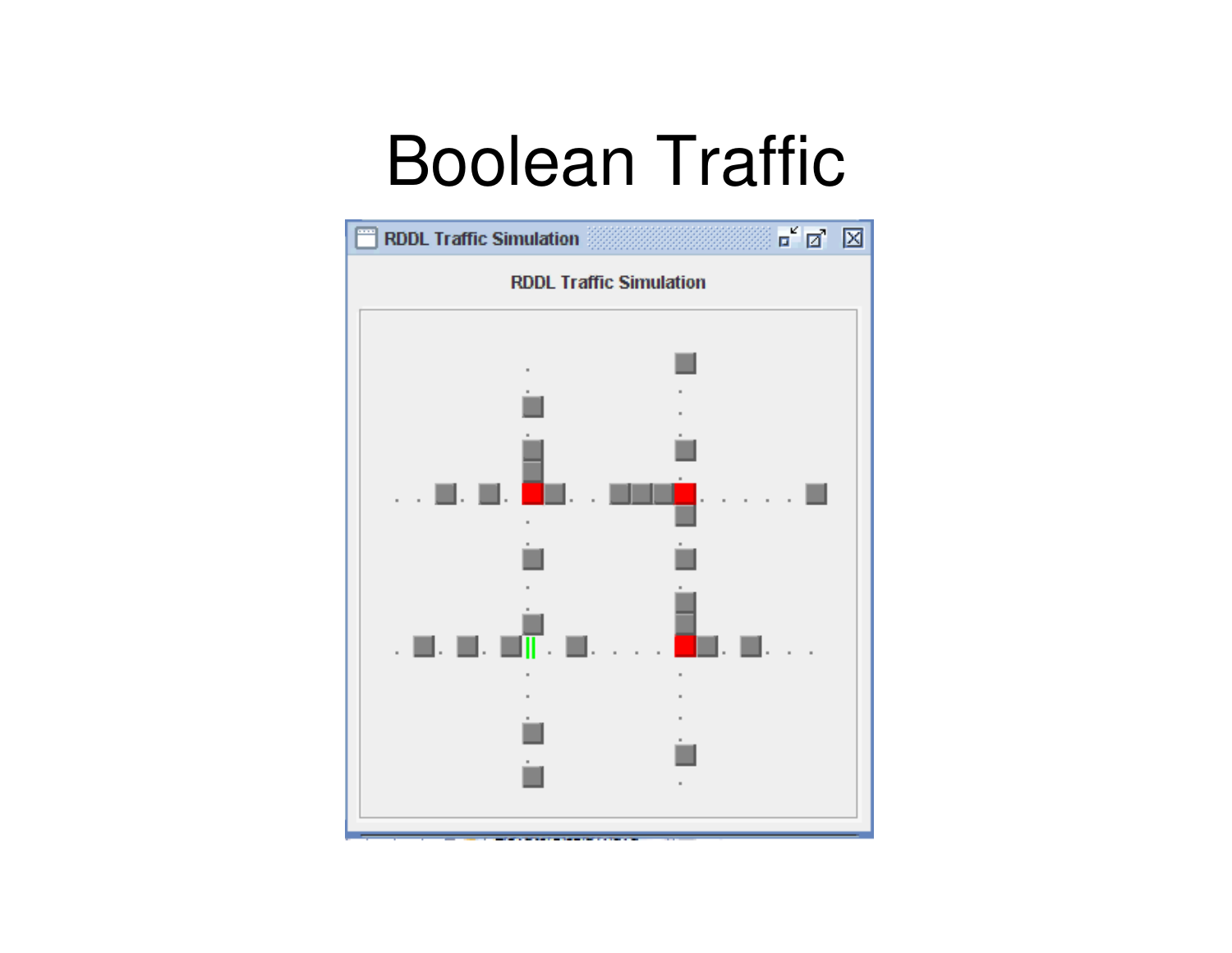# Boolean Traffic

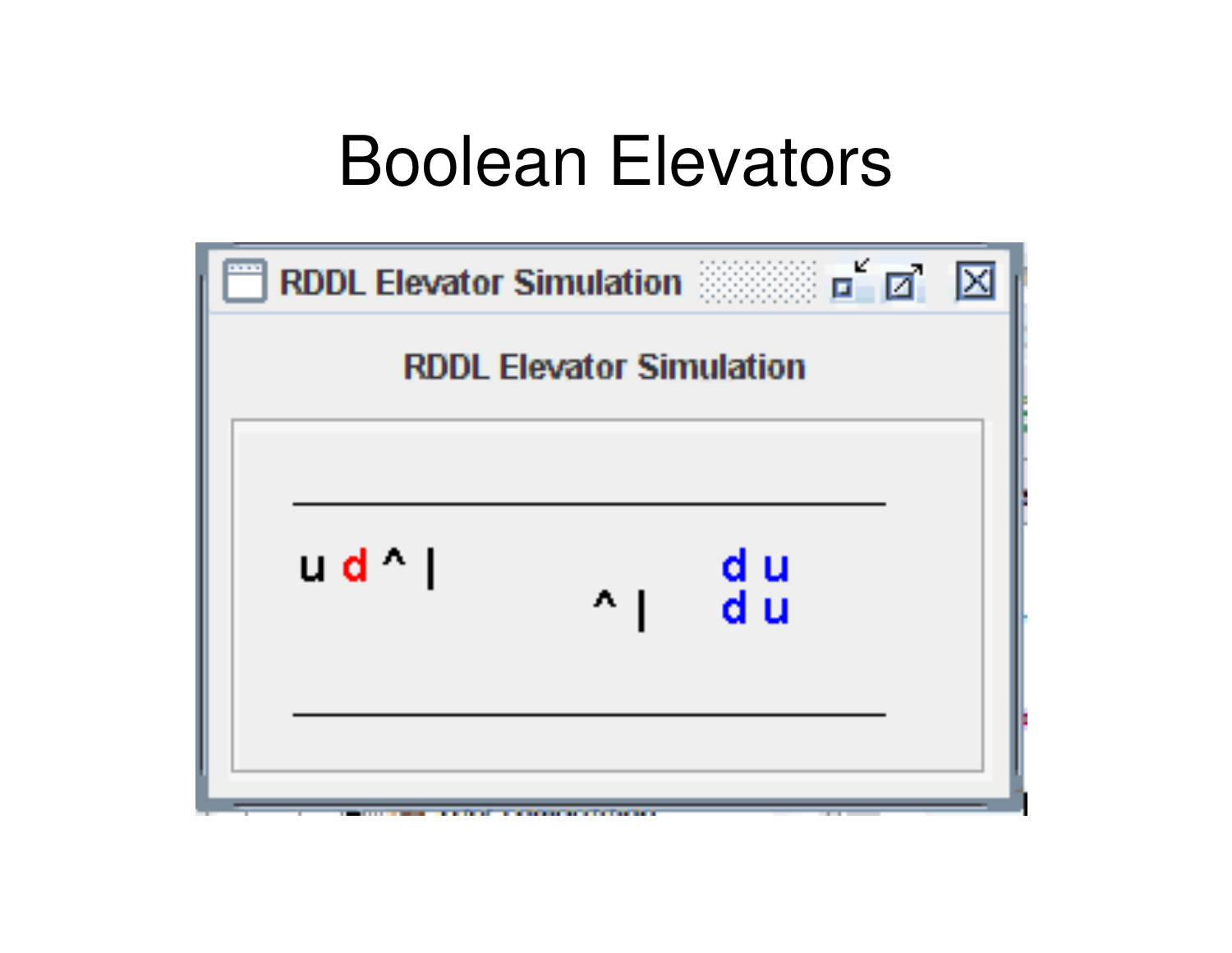#### Boolean Elevators

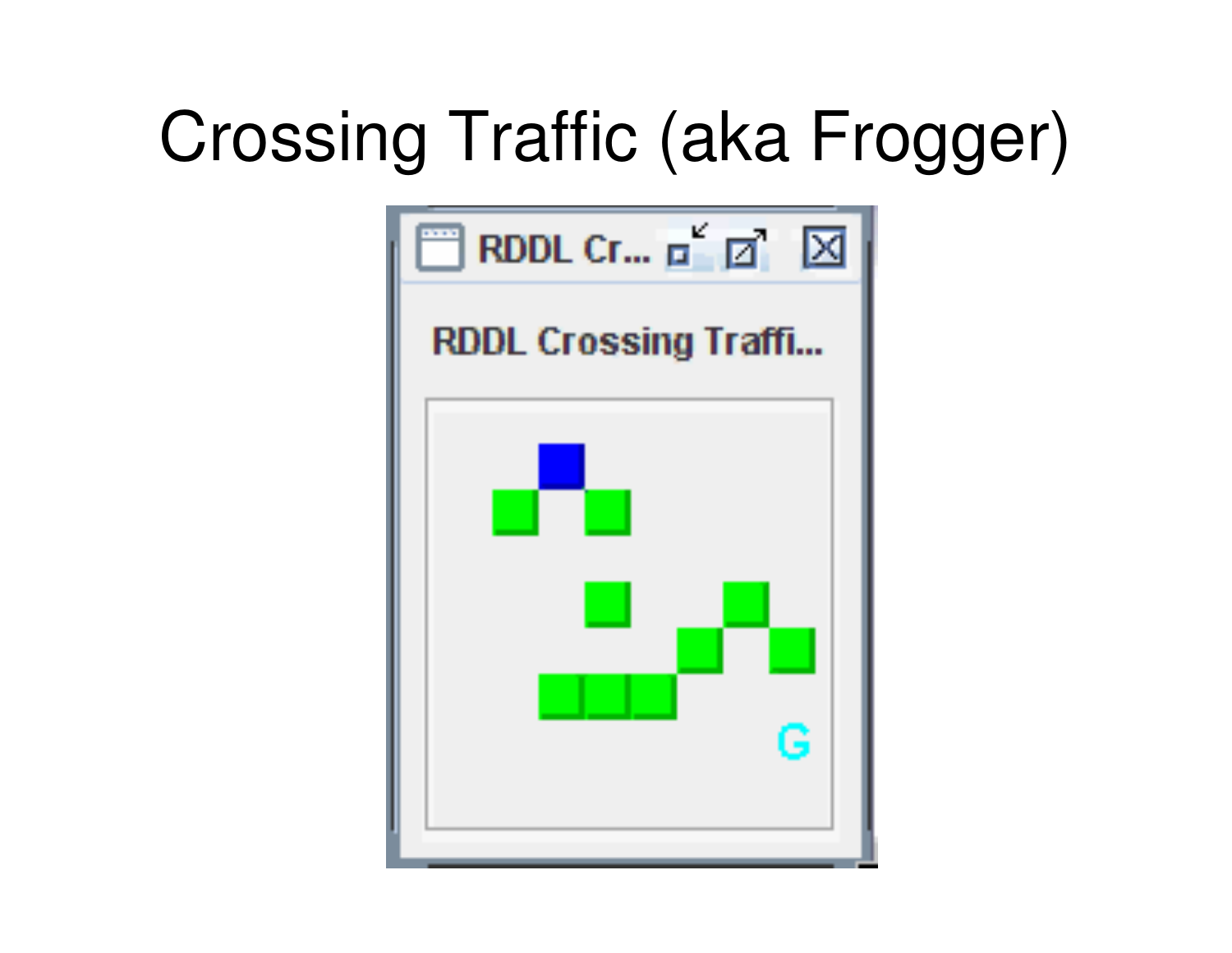# Crossing Traffic (aka Frogger)

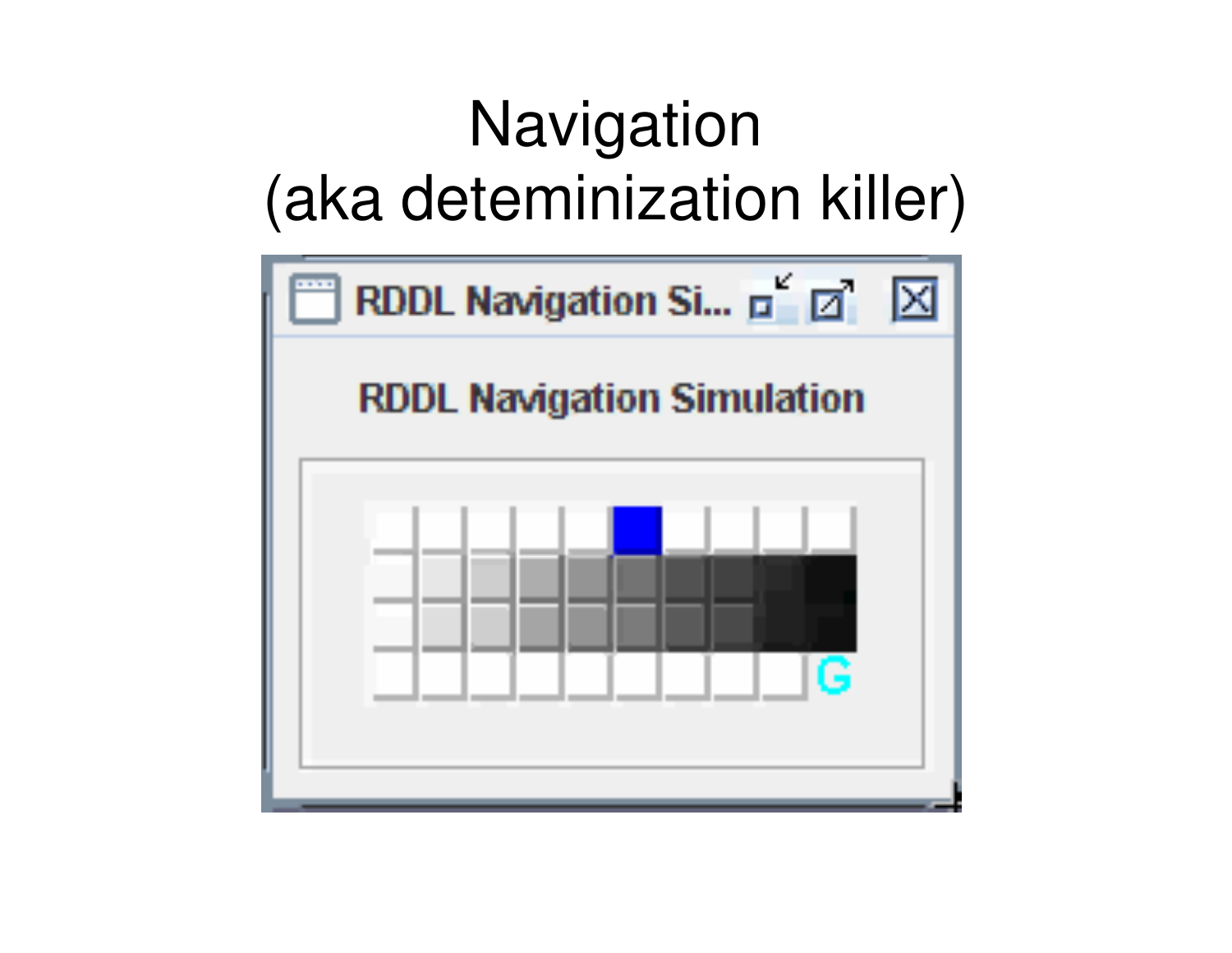#### **Navigation** (aka deteminization killer)

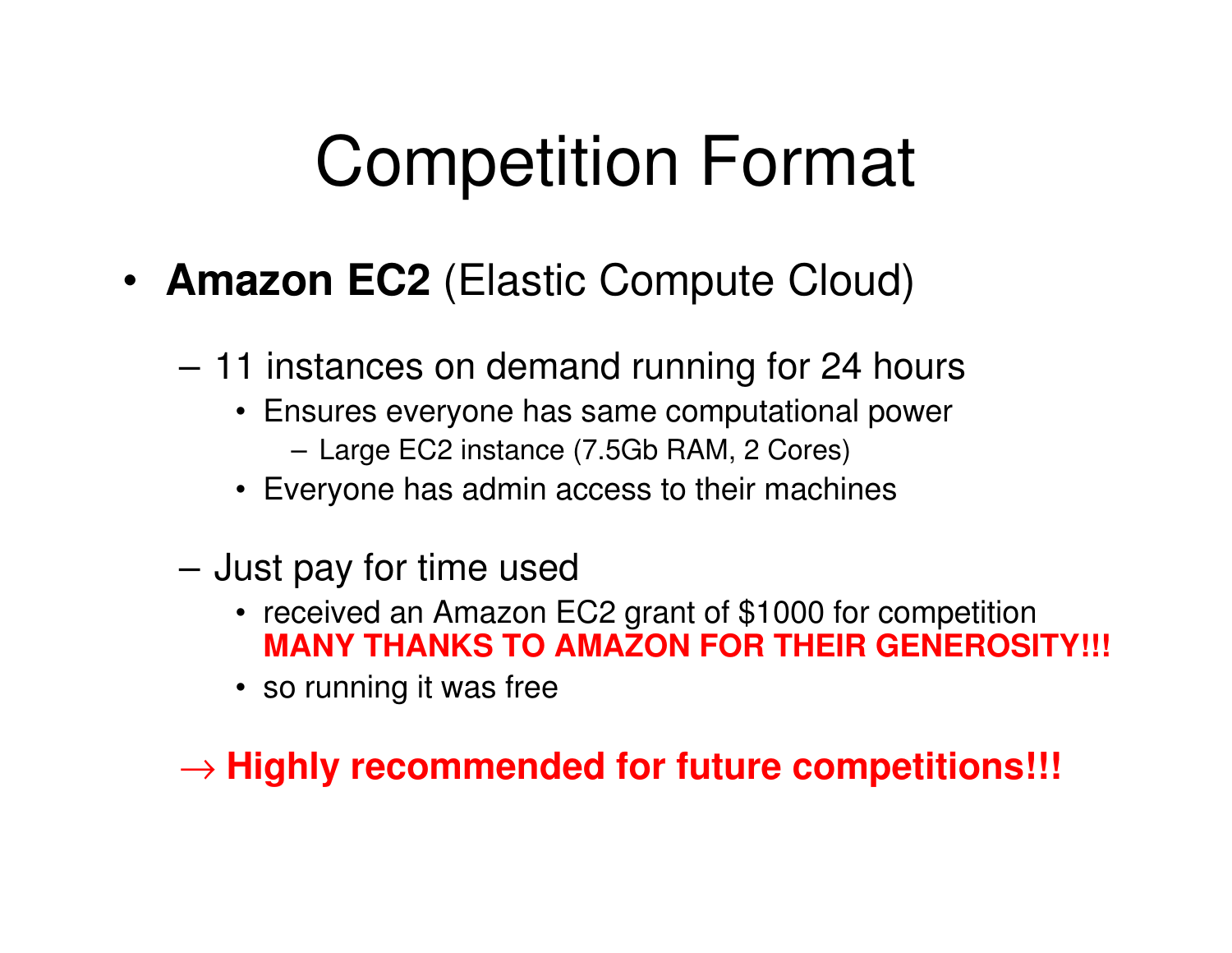# Competition Format

- **Amazon EC2** (Elastic Compute Cloud)
	- – 11 instances on demand running for 24 hours
		- Ensures everyone has same computational power
			- Large EC2 instance (7.5Gb RAM, 2 Cores)
		- Everyone has admin access to their machines
	- **Links of the Common**  Just pay for time used
		- received an Amazon EC2 grant of \$1000 for competition**MANY THANKS TO AMAZON FOR THEIR GENEROSITY!!!**
		- so running it was free

→ **Highly recommended for future competitions!!!**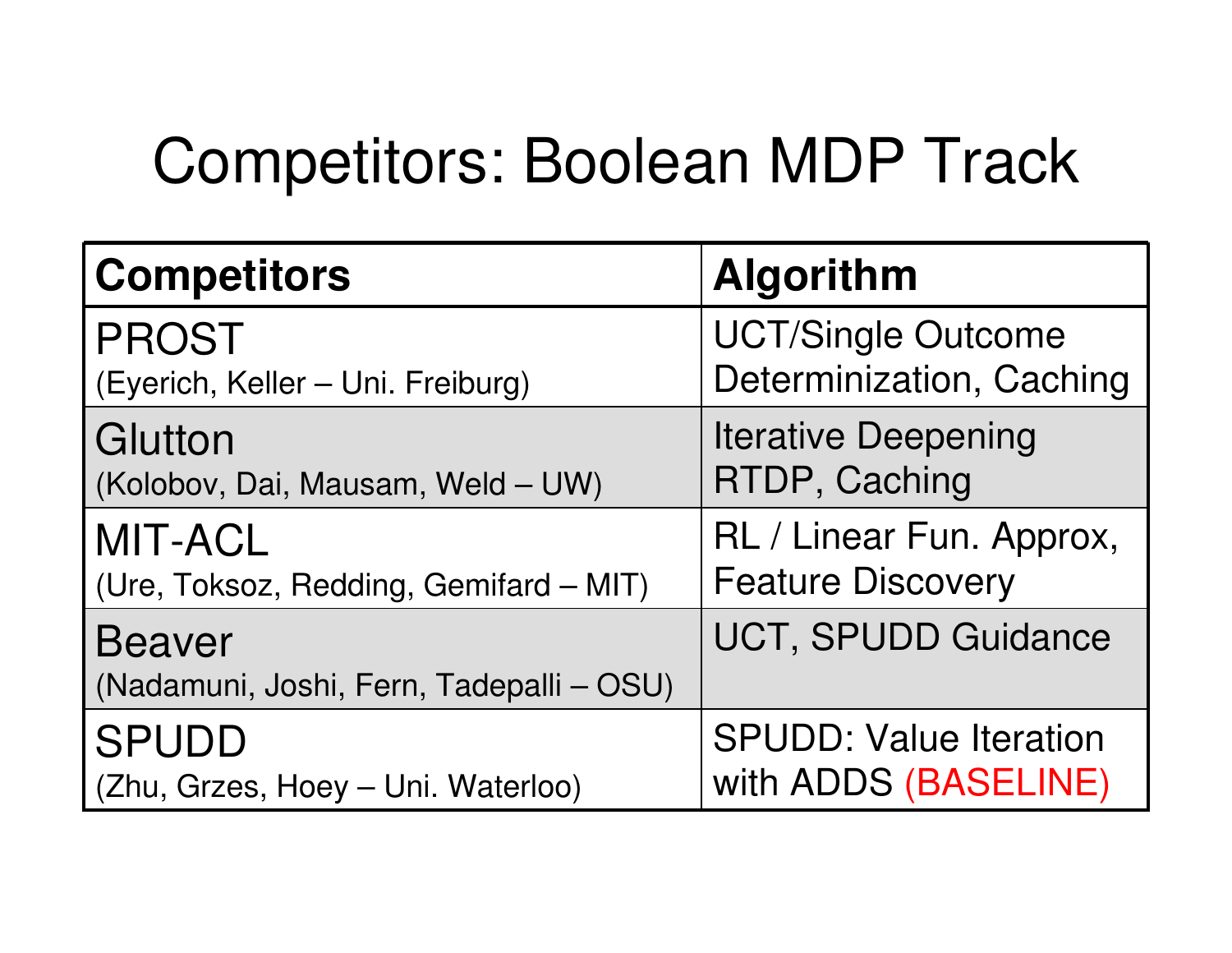#### Competitors: Boolean MDP Track

| <b>Competitors</b>                                        | <b>Algorithm</b>              |
|-----------------------------------------------------------|-------------------------------|
| <b>PROST</b>                                              | <b>UCT/Single Outcome</b>     |
| (Eyerich, Keller - Uni. Freiburg)                         | Determinization, Caching      |
| Glutton                                                   | <b>Iterative Deepening</b>    |
| (Kolobov, Dai, Mausam, Weld - UW)                         | RTDP, Caching                 |
| <b>MIT-ACL</b>                                            | RL / Linear Fun. Approx,      |
| (Ure, Toksoz, Redding, Gemifard - MIT)                    | <b>Feature Discovery</b>      |
| <b>Beaver</b><br>(Nadamuni, Joshi, Fern, Tadepalli - OSU) | <b>UCT, SPUDD Guidance</b>    |
| <b>SPUDD</b>                                              | <b>SPUDD: Value Iteration</b> |
| (Zhu, Grzes, Hoey - Uni. Waterloo)                        | with ADDS (BASELINE)          |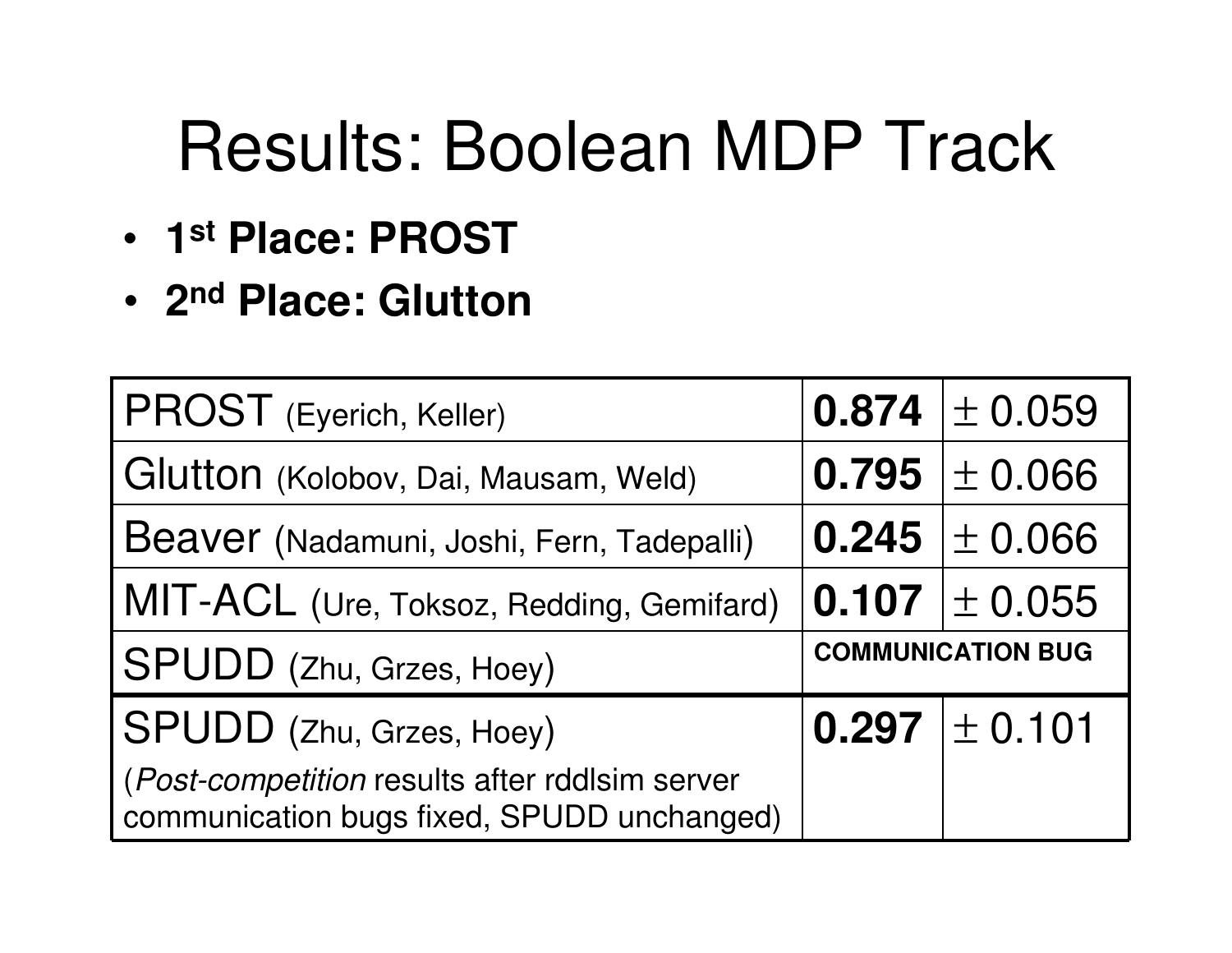# Results: Boolean MDP Track

- •**1st Place: PROST**
- •**2nd Place: Glutton**

| PROST (Eyerich, Keller)                                                                      |                          | $0.874 \pm 0.059$   |
|----------------------------------------------------------------------------------------------|--------------------------|---------------------|
| Glutton (Kolobov, Dai, Mausam, Weld)                                                         |                          | $0.795 \pm 0.066$   |
| Beaver (Nadamuni, Joshi, Fern, Tadepalli)                                                    |                          | $0.245 \pm 0.066$   |
| MIT-ACL (Ure, Toksoz, Redding, Gemifard)                                                     |                          | $ 0.107  \pm 0.055$ |
| SPUDD (Zhu, Grzes, Hoey)                                                                     | <b>COMMUNICATION BUG</b> |                     |
| <b>SPUDD</b> (Zhu, Grzes, Hoey)                                                              |                          | 0.297 $\pm$ 0.101   |
| (Post-competition results after rddlsim server<br>communication bugs fixed, SPUDD unchanged) |                          |                     |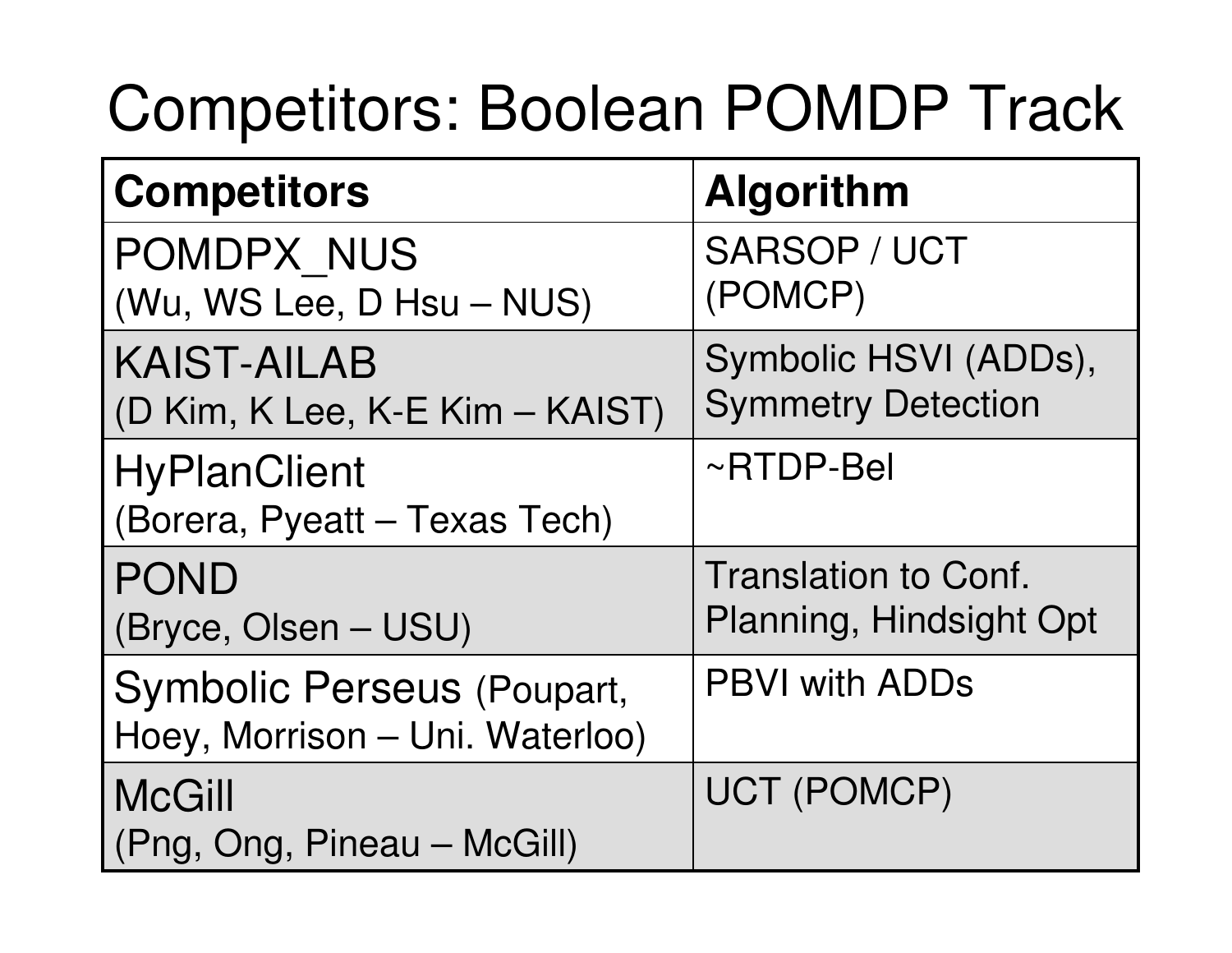#### Competitors: Boolean POMDP Track

| <b>Competitors</b>                                            | <b>Algorithm</b>                                       |
|---------------------------------------------------------------|--------------------------------------------------------|
| POMDPX NUS<br>(Wu, WS Lee, D Hsu - NUS)                       | SARSOP / UCT<br>(POMCP)                                |
| <b>KAIST-AILAB</b><br>(D Kim, K Lee, K-E Kim - KAIST)         | Symbolic HSVI (ADDs),<br><b>Symmetry Detection</b>     |
| <b>HyPlanClient</b><br>(Borera, Pyeatt - Texas Tech)          | ~RTDP-Bel                                              |
| <b>POND</b><br>(Bryce, Olsen – USU)                           | <b>Translation to Conf.</b><br>Planning, Hindsight Opt |
| Symbolic Perseus (Poupart,<br>Hoey, Morrison - Uni. Waterloo) | <b>PBVI with ADDs</b>                                  |
| <b>McGill</b><br>(Png, Ong, Pineau – McGill)                  | UCT (POMCP)                                            |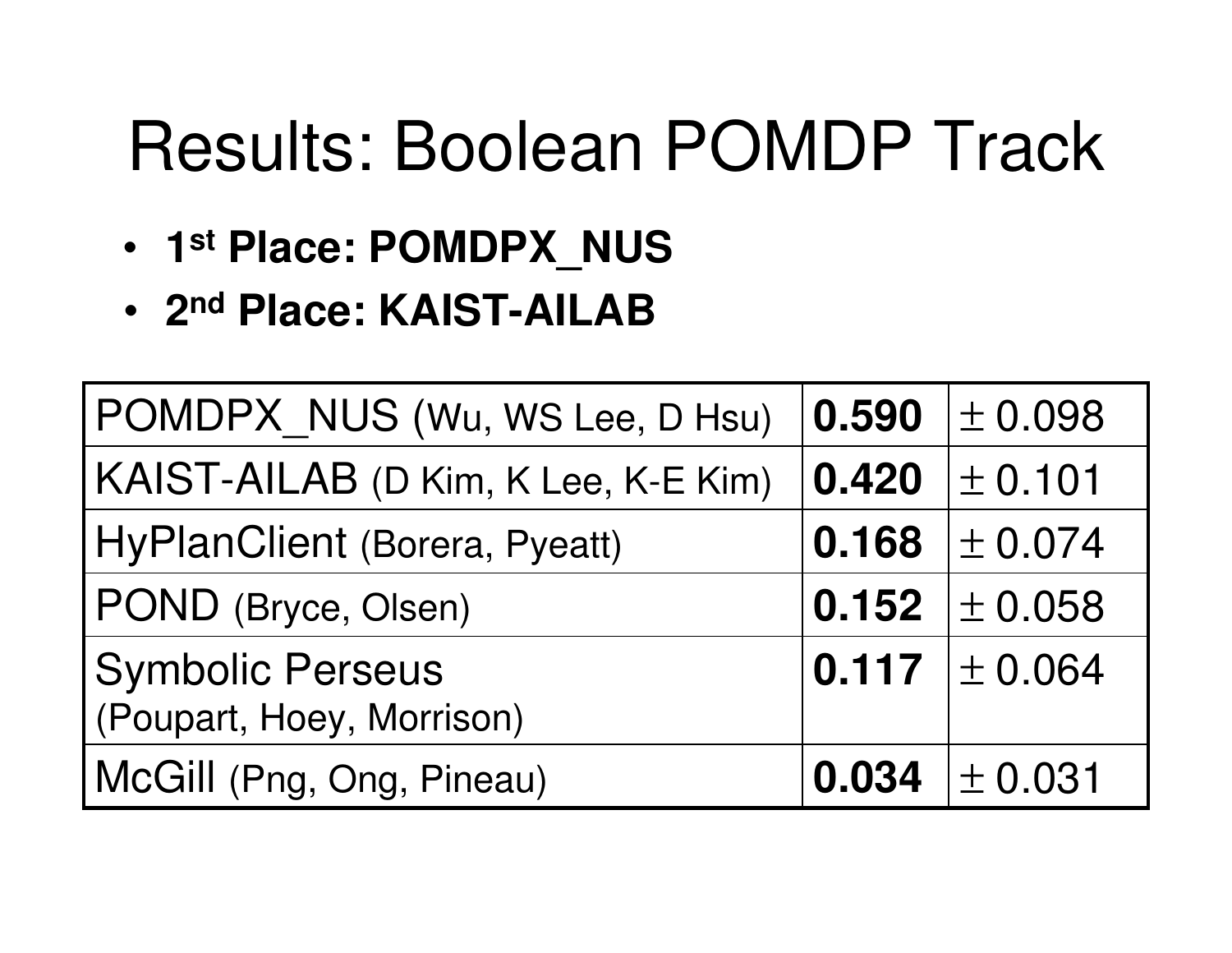# Results: Boolean POMDP Track

- •**1st Place: POMDPX\_NUS**
- •**2nd Place: KAIST-AILAB**

| POMDPX_NUS (Wu, WS Lee, D Hsu)                       | 0.590 | $\pm 0.098$                     |
|------------------------------------------------------|-------|---------------------------------|
| KAIST-AILAB (D Kim, K Lee, K-E Kim)                  | 0.420 | $\pm$ 0.101                     |
| HyPlanClient (Borera, Pyeatt)                        | 0.168 | $\pm 0.074$                     |
| POND (Bryce, Olsen)                                  | 0.152 | $\pm$ 0.058                     |
| <b>Symbolic Perseus</b><br>(Poupart, Hoey, Morrison) |       | $\vert$ 0.117 $\vert \pm$ 0.064 |
| McGill (Png, Ong, Pineau)                            |       | $0.034$   $\pm$ 0.031           |